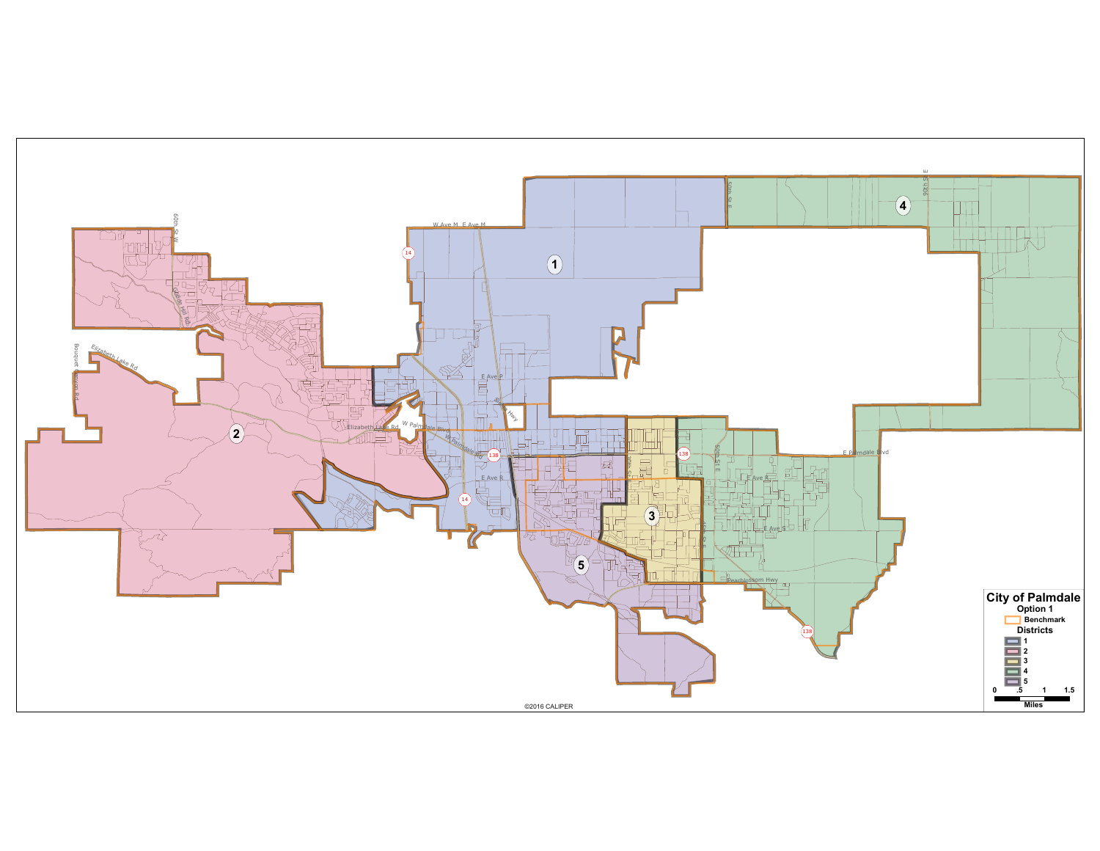